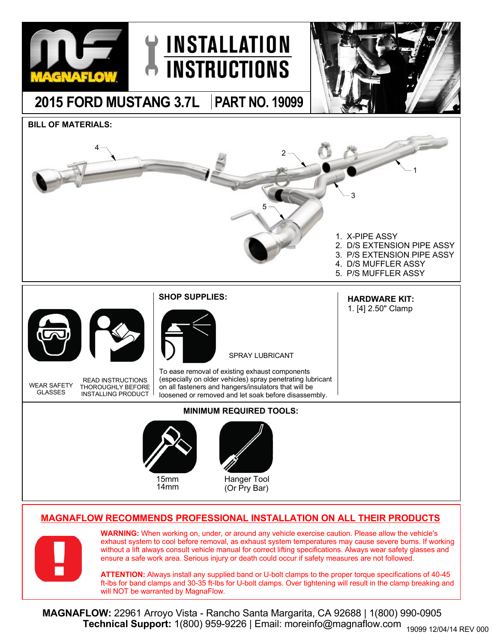

## **MAGNAFLOW RECOMMENDS PROFESSIONAL INSTALLATION ON ALL THEIR PRODUCTS**



**WARNING:** When working on, under, or around any vehicle exercise caution. Please allow the vehicle's exhaust system to cool before removal, as exhaust system temperatures may cause severe burns. If working without a lift always consult vehicle manual for correct lifting specifications. Always wear safety glasses and ensure a safe work area. Serious injury or death could occur if safety measures are not followed.

**ATTENTION:** Always install any supplied band or U-bolt clamps to the proper torque specifications of 40-45 ft-lbs for band clamps and 30-35 ft-lbs for U-bolt clamps. Over tightening will result in the clamp breaking and will NOT be warranted by MagnaFlow.

**MAGNAFLOW:** 22961 Arroyo Vista - Rancho Santa Margarita, CA 92688 | 1(800) 990-0905 **Technical Support:** 1(800) 959-9226 | Email: moreinfo@magnaflow.com 19099 12/04/14 REV 000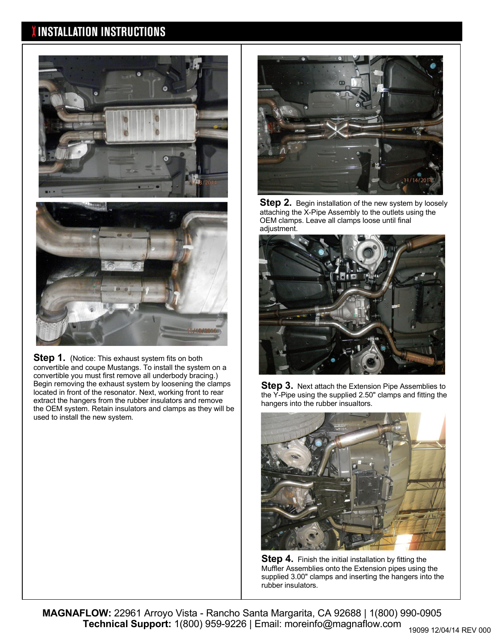## **INSTALLATION INSTRUCTIONS**





**Step 1.** (Notice: This exhaust system fits on both convertible and coupe Mustangs. To install the system on a convertible you must first remove all underbody bracing.) Begin removing the exhaust system by loosening the clamps located in front of the resonator. Next, working front to rear extract the hangers from the rubber insulators and remove the OEM system. Retain insulators and clamps as they will be used to install the new system.



**Step 2.** Begin installation of the new system by loosely attaching the X-Pipe Assembly to the outlets using the OEM clamps. Leave all clamps loose until final adjustment.



**Step 3.** Next attach the Extension Pipe Assemblies to the Y-Pipe using the supplied 2.50" clamps and fitting the hangers into the rubber insualtors.



**Step 4.** Finish the initial installation by fitting the Muffler Assemblies onto the Extension pipes using the supplied 3.00" clamps and inserting the hangers into the rubber insulators.